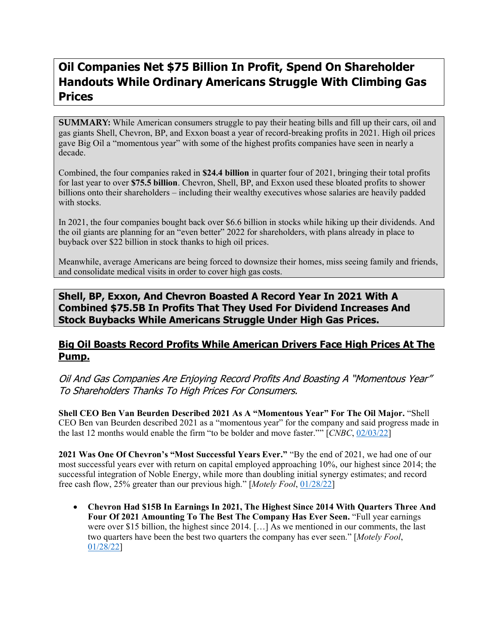# **Oil Companies Net \$75 Billion In Profit, Spend On Shareholder Handouts While Ordinary Americans Struggle With Climbing Gas Prices**

**SUMMARY:** While American consumers struggle to pay their heating bills and fill up their cars, oil and gas giants Shell, Chevron, BP, and Exxon boast a year of record-breaking profits in 2021. High oil prices gave Big Oil a "momentous year" with some of the highest profits companies have seen in nearly a decade.

Combined, the four companies raked in **\$24.4 billion** in quarter four of 2021, bringing their total profits for last year to over **\$75.5 billion**. Chevron, Shell, BP, and Exxon used these bloated profits to shower billions onto their shareholders – including their wealthy executives whose salaries are heavily padded with stocks.

In 2021, the four companies bought back over \$6.6 billion in stocks while hiking up their dividends. And the oil giants are planning for an "even better" 2022 for shareholders, with plans already in place to buyback over \$22 billion in stock thanks to high oil prices.

Meanwhile, average Americans are being forced to downsize their homes, miss seeing family and friends, and consolidate medical visits in order to cover high gas costs.

# **Shell, BP, Exxon, And Chevron Boasted A Record Year In 2021 With A Combined \$75.5B In Profits That They Used For Dividend Increases And Stock Buybacks While Americans Struggle Under High Gas Prices.**

#### **Big Oil Boasts Record Profits While American Drivers Face High Prices At The Pump.**

Oil And Gas Companies Are Enjoying Record Profits And Boasting A "Momentous Year" To Shareholders Thanks To High Prices For Consumers.

**Shell CEO Ben Van Beurden Described 2021 As A "Momentous Year" For The Oil Major.** "Shell CEO Ben van Beurden described 2021 as a "momentous year" for the company and said progress made in the last 12 months would enable the firm "to be bolder and move faster."" [*CNBC*, [02/03/22\]](https://www.cnbc.com/2022/02/03/shell-earnings-q4-2021.html)

**2021 Was One Of Chevron's "Most Successful Years Ever."** "By the end of 2021, we had one of our most successful years ever with return on capital employed approaching 10%, our highest since 2014; the successful integration of Noble Energy, while more than doubling initial synergy estimates; and record free cash flow, 25% greater than our previous high." [*Motely Fool*, [01/28/22\]](https://www.fool.com/earnings/call-transcripts/2022/01/28/chevron-cvx-q4-2021-earnings-call-transcript/)

• **Chevron Had \$15B In Earnings In 2021, The Highest Since 2014 With Quarters Three And Four Of 2021 Amounting To The Best The Company Has Ever Seen.** "Full year earnings were over \$15 billion, the highest since 2014. […] As we mentioned in our comments, the last two quarters have been the best two quarters the company has ever seen." [*Motely Fool*, [01/28/22\]](https://www.fool.com/earnings/call-transcripts/2022/01/28/chevron-cvx-q4-2021-earnings-call-transcript/)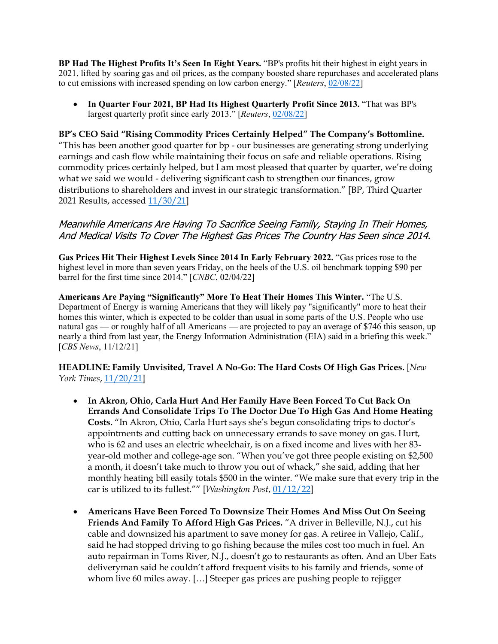**BP Had The Highest Profits It's Seen In Eight Years.** "BP's profits hit their highest in eight years in 2021, lifted by soaring gas and oil prices, as the company boosted share repurchases and accelerated plans to cut emissions with increased spending on low carbon energy." [*Reuters*[, 02/08/22\]](https://www.reuters.com/business/energy/bp-records-highest-profit-eight-years-2021-2022-02-08/)

• **In Quarter Four 2021, BP Had Its Highest Quarterly Profit Since 2013.** "That was BP's largest quarterly profit since early 2013." [*Reuters*, [02/08/22\]](https://www.reuters.com/business/energy/bp-records-highest-profit-eight-years-2021-2022-02-08/)

**BP's CEO Said "Rising Commodity Prices Certainly Helped" The Company's Bottomline.**  "This has been another good quarter for bp - our businesses are generating strong underlying earnings and cash flow while maintaining their focus on safe and reliable operations. Rising commodity prices certainly helped, but I am most pleased that quarter by quarter, we're doing what we said we would - delivering significant cash to strengthen our finances, grow distributions to shareholders and invest in our strategic transformation." [BP, Third Quarter 2021 Results, accessed [11/30/21\]](https://www.bp.com/en/global/corporate/investors/results-and-reporting/quarterly-results-and-webcast.html)

## Meanwhile Americans Are Having To Sacrifice Seeing Family, Staying In Their Homes, And Medical Visits To Cover The Highest Gas Prices The Country Has Seen since 2014.

**Gas Prices Hit Their Highest Levels Since 2014 In Early February 2022.** "Gas prices rose to the highest level in more than seven years Friday, on the heels of the U.S. oil benchmark topping \$90 per barrel for the first time since 2014." [*CNBC*, [02/04/22\]](https://www.cnbc.com/2022/02/04/gas-prices-climb-to-highest-level-in-more-than-7-years-as-oil-surges-above-90.html)

**Americans Are Paying "Significantly" More To Heat Their Homes This Winter.** "The U.S. Department of Energy is warning Americans that they will likely pay "significantly" more to heat their homes this winter, which is expected to be colder than usual in some parts of the U.S. People who use natural gas — or roughly half of all Americans — are projected to pay an average of \$746 this season, up nearly a third from last year, the Energy Information Administration (EIA) said in a briefing this week." [*CBS News*, [11/12/21\]](https://www.cbsnews.com/news/inflation-gas-prices-home-heating-oil-natural-gas-electricity/)

**HEADLINE: Family Unvisited, Travel A No-Go: The Hard Costs Of High Gas Prices.** [*New York Times*, [11/20/21\]](https://www.nytimes.com/2021/11/20/business/high-gas-prices.html)

- **In Akron, Ohio, Carla Hurt And Her Family Have Been Forced To Cut Back On Errands And Consolidate Trips To The Doctor Due To High Gas And Home Heating Costs.** "In Akron, Ohio, Carla Hurt says she's begun consolidating trips to doctor's appointments and cutting back on unnecessary errands to save money on gas. Hurt, who is 62 and uses an electric wheelchair, is on a fixed income and lives with her 83 year-old mother and college-age son. "When you've got three people existing on \$2,500 a month, it doesn't take much to throw you out of whack," she said, adding that her monthly heating bill easily totals \$500 in the winter. "We make sure that every trip in the car is utilized to its fullest."" [*Washington Post*, [01/12/22\]](https://www.washingtonpost.com/business/2022/01/12/inflation-food-gas-housing-healthcare/)
- **Americans Have Been Forced To Downsize Their Homes And Miss Out On Seeing Friends And Family To Afford High Gas Prices.** "A driver in Belleville, N.J., cut his cable and downsized his apartment to save money for gas. A retiree in Vallejo, Calif., said he had stopped driving to go fishing because the miles cost too much in fuel. An auto repairman in Toms River, N.J., doesn't go to restaurants as often. And an Uber Eats deliveryman said he couldn't afford frequent visits to his family and friends, some of whom live 60 miles away. […] Steeper gas prices are pushing people to rejigger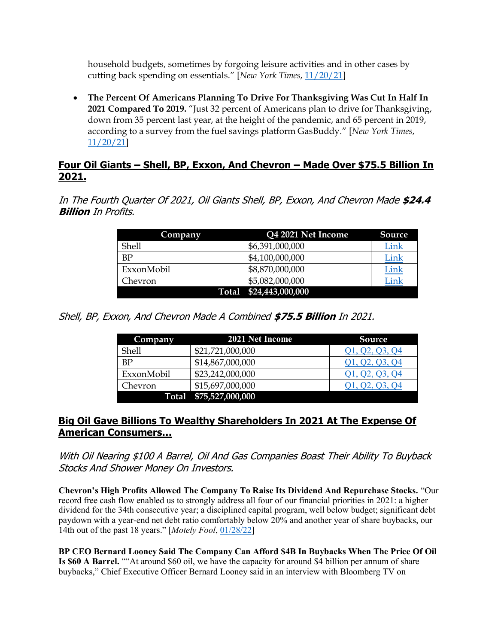household budgets, sometimes by forgoing leisure activities and in other cases by cutting back spending on essentials." [*New York Times*, [11/20/21\]](https://www.nytimes.com/2021/11/20/business/high-gas-prices.html)

• **The Percent Of Americans Planning To Drive For Thanksgiving Was Cut In Half In 2021 Compared To 2019.** "Just 32 percent of Americans plan to drive for Thanksgiving, down from 35 percent last year, at the height of the pandemic, and 65 percent in 2019, according to a survey from the fuel savings platform GasBuddy." [*New York Times*, [11/20/21\]](https://www.nytimes.com/2021/11/20/business/high-gas-prices.html)

# **Four Oil Giants – Shell, BP, Exxon, And Chevron – Made Over \$75.5 Billion In 2021.**

In The Fourth Quarter Of 2021, Oil Giants Shell, BP, Exxon, And Chevron Made **\$24.4 Billion** In Profits.

| Company    | Q4 2021 Net Income | Source |
|------------|--------------------|--------|
| Shell      | \$6,391,000,000    | Link   |
| <b>BP</b>  | \$4,100,000,000    | Link   |
| ExxonMobil | \$8,870,000,000    | Link   |
| Chevron    | \$5,082,000,000    | Link   |
| Total      | \$24,443,000,000   |        |

Shell, BP, Exxon, And Chevron Made A Combined **\$75.5 Billion** In 2021.

| Company    | 2021 Net Income        | Source     |
|------------|------------------------|------------|
| Shell      | \$21,721,000,000       | QZ, Q3, Q4 |
| BP         | \$14,867,000,000       |            |
| ExxonMobil | \$23,242,000,000       |            |
| Chevron    | \$15,697,000,000       |            |
|            | Total \$75,527,000,000 |            |

# **Big Oil Gave Billions To Wealthy Shareholders In 2021 At The Expense Of American Consumers…**

With Oil Nearing \$100 A Barrel, Oil And Gas Companies Boast Their Ability To Buyback Stocks And Shower Money On Investors.

**Chevron's High Profits Allowed The Company To Raise Its Dividend And Repurchase Stocks.** "Our record free cash flow enabled us to strongly address all four of our financial priorities in 2021: a higher dividend for the 34th consecutive year; a disciplined capital program, well below budget; significant debt paydown with a year-end net debt ratio comfortably below 20% and another year of share buybacks, our 14th out of the past 18 years." [*Motely Fool*, [01/28/22\]](https://www.fool.com/earnings/call-transcripts/2022/01/28/chevron-cvx-q4-2021-earnings-call-transcript/)

**BP CEO Bernard Looney Said The Company Can Afford \$4B In Buybacks When The Price Of Oil Is \$60 A Barrel.** ""At around \$60 oil, we have the capacity for around \$4 billion per annum of share buybacks," Chief Executive Officer Bernard Looney said in an interview with Bloomberg TV on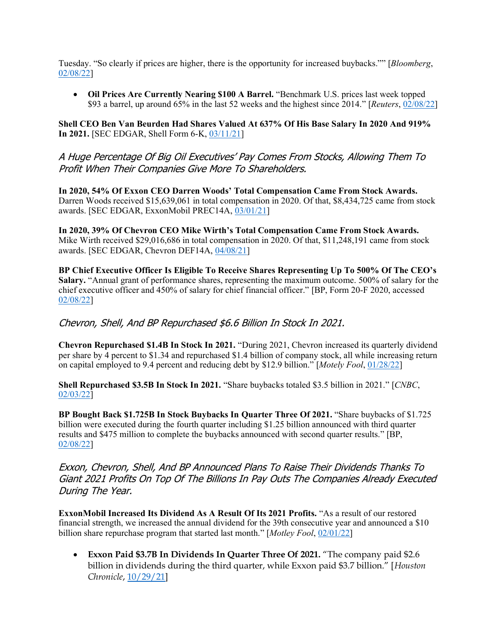Tuesday. "So clearly if prices are higher, there is the opportunity for increased buybacks."" [*Bloomberg*, [02/08/22\]](https://www.bloomberg.com/news/articles/2022-02-08/bp-to-buy-back-another-1-5-billion-of-shares-as-profit-soars)

• **Oil Prices Are Currently Nearing \$100 A Barrel.** "Benchmark U.S. prices last week topped \$93 a barrel, up around 65% in the last 52 weeks and the highest since 2014." [*Reuters*, [02/08/22\]](https://www.reuters.com/business/energy/oil-nears-100-barrel-us-drillers-get-busy-costly-shale-basins-2022-02-08/)

**Shell CEO Ben Van Beurden Had Shares Valued At 637% Of His Base Salary In 2020 And 919% In 2021.** [SEC EDGAR, Shell Form 6-K, [03/11/21\]](https://www.sec.gov/Archives/edgar/data/1306965/000130696521000023/a6-karroyaldutchshellplc20.htm)

A Huge Percentage Of Big Oil Executives' Pay Comes From Stocks, Allowing Them To Profit When Their Companies Give More To Shareholders.

**In 2020, 54% Of Exxon CEO Darren Woods' Total Compensation Came From Stock Awards.**  Darren Woods received \$15,639,061 in total compensation in 2020. Of that, \$8,434,725 came from stock awards. [SEC EDGAR, ExxonMobil PREC14A, [03/01/21\]](https://www.sec.gov/Archives/edgar/data/34088/000119312521063129/d94159dprec14a.htm)

**In 2020, 39% Of Chevron CEO Mike Wirth's Total Compensation Came From Stock Awards.**  Mike Wirth received \$29,016,686 in total compensation in 2020. Of that, \$11,248,191 came from stock awards. [SEC EDGAR, Chevron DEF14A, [04/08/21\]](https://www.sec.gov/Archives/edgar/data/93410/000119312521109793/d74377ddef14a.htm#toc74377_40)

**BP Chief Executive Officer Is Eligible To Receive Shares Representing Up To 500% Of The CEO's Salary.** "Annual grant of performance shares, representing the maximum outcome. 500% of salary for the chief executive officer and 450% of salary for chief financial officer." [BP, Form 20-F 2020, accessed [02/08/22\]](https://www.bp.com/content/dam/bp/business-sites/en/global/corporate/pdfs/investors/bp-directors-remuneration-report-2020.pdf)

#### Chevron, Shell, And BP Repurchased \$6.6 Billion In Stock In 2021.

**Chevron Repurchased \$1.4B In Stock In 2021.** "During 2021, Chevron increased its quarterly dividend per share by 4 percent to \$1.34 and repurchased \$1.4 billion of company stock, all while increasing return on capital employed to 9.4 percent and reducing debt by \$12.9 billion." [*Motely Fool*, [01/28/22\]](https://www.fool.com/earnings/call-transcripts/2022/01/28/chevron-cvx-q4-2021-earnings-call-transcript/)

**Shell Repurchased \$3.5B In Stock In 2021.** "Share buybacks totaled \$3.5 billion in 2021." [*CNBC*, [02/03/22\]](https://www.cnbc.com/2022/02/03/shell-earnings-q4-2021.html)

**BP Bought Back \$1.725B In Stock Buybacks In Quarter Three Of 2021.** "Share buybacks of \$1.725 billion were executed during the fourth quarter including \$1.25 billion announced with third quarter results and \$475 million to complete the buybacks announced with second quarter results." [BP, [02/08/22\]](https://www.bp.com/en/global/corporate/news-and-insights/press-releases/fourth-quarter-2021-results.html)

Exxon, Chevron, Shell, And BP Announced Plans To Raise Their Dividends Thanks To Giant 2021 Profits On Top Of The Billions In Pay Outs The Companies Already Executed During The Year.

**ExxonMobil Increased Its Dividend As A Result Of Its 2021 Profits.** "As a result of our restored financial strength, we increased the annual dividend for the 39th consecutive year and announced a \$10 billion share repurchase program that started last month." [*Motley Fool*, [02/01/22\]](https://www.fool.com/earnings/call-transcripts/2022/02/01/exxonmobil-xom-q4-2021-earnings-call-transcript/)

• **Exxon Paid \$3.7B In Dividends In Quarter Three Of 2021.** "The company paid \$2.6 billion in dividends during the third quarter, while Exxon paid \$3.7 billion." [*Houston Chronicle*, [10/29/21\]](https://www.houstonchronicle.com/business/energy/article/Who-benefits-from-Big-Oil-s-big-profits-Not-16576269.php)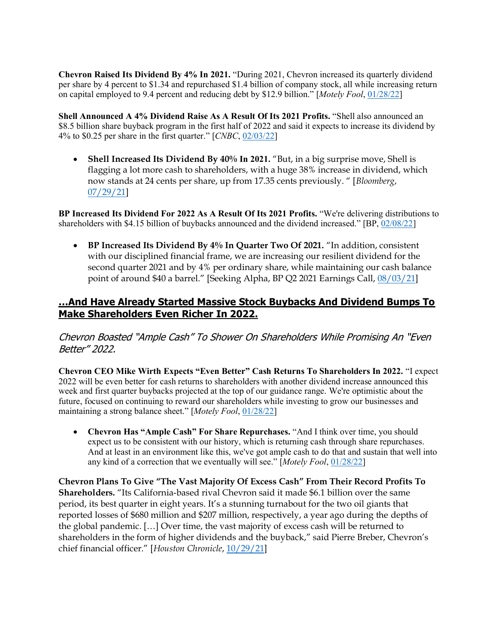**Chevron Raised Its Dividend By 4% In 2021.** "During 2021, Chevron increased its quarterly dividend per share by 4 percent to \$1.34 and repurchased \$1.4 billion of company stock, all while increasing return on capital employed to 9.4 percent and reducing debt by \$12.9 billion." [*Motely Fool*, [01/28/22\]](https://www.fool.com/earnings/call-transcripts/2022/01/28/chevron-cvx-q4-2021-earnings-call-transcript/)

**Shell Announced A 4% Dividend Raise As A Result Of Its 2021 Profits.** "Shell also announced an \$8.5 billion share buyback program in the first half of 2022 and said it expects to increase its dividend by 4% to \$0.25 per share in the first quarter." [*CNBC*, [02/03/22\]](https://www.cnbc.com/2022/02/03/shell-earnings-q4-2021.html)

• **Shell Increased Its Dividend By 40% In 2021.** "But, in a big surprise move, Shell is flagging a lot more cash to shareholders, with a huge 38% increase in dividend, which now stands at 24 cents per share, up from 17.35 cents previously. " [*Bloomberg*, [07/29/21\]](https://www.bgov.com/core/news/#!/articles/QX00LRT1UM1F)

**BP Increased Its Dividend For 2022 As A Result Of Its 2021 Profits.** "We're delivering distributions to shareholders with \$4.15 billion of buybacks announced and the dividend increased." [BP, [02/08/22\]](https://www.bp.com/en/global/corporate/investors/results-and-presentations/quarterly-results-and-webcast.html?utm_source=4Q20BPInvestapp)

• **BP Increased Its Dividend By 4% In Quarter Two Of 2021.** "In addition, consistent with our disciplined financial frame, we are increasing our resilient dividend for the second quarter 2021 and by 4% per ordinary share, while maintaining our cash balance point of around \$40 a barrel." [Seeking Alpha, BP Q2 2021 Earnings Call, [08/03/21\]](https://seekingalpha.com/article/4444356-bp-plc-bp-ceo-bernard-looneon-q2-2021-results-earnings-call-transcript)

# **…And Have Already Started Massive Stock Buybacks And Dividend Bumps To Make Shareholders Even Richer In 2022.**

Chevron Boasted "Ample Cash" To Shower On Shareholders While Promising An "Even Better" 2022.

**Chevron CEO Mike Wirth Expects "Even Better" Cash Returns To Shareholders In 2022.** "I expect 2022 will be even better for cash returns to shareholders with another dividend increase announced this week and first quarter buybacks projected at the top of our guidance range. We're optimistic about the future, focused on continuing to reward our shareholders while investing to grow our businesses and maintaining a strong balance sheet." [*Motely Fool*[, 01/28/22\]](https://www.fool.com/earnings/call-transcripts/2022/01/28/chevron-cvx-q4-2021-earnings-call-transcript/)

• **Chevron Has "Ample Cash" For Share Repurchases.** "And I think over time, you should expect us to be consistent with our history, which is returning cash through share repurchases. And at least in an environment like this, we've got ample cash to do that and sustain that well into any kind of a correction that we eventually will see." [*Motely Fool*[, 01/28/22\]](https://www.fool.com/earnings/call-transcripts/2022/01/28/chevron-cvx-q4-2021-earnings-call-transcript/)

**Chevron Plans To Give "The Vast Majority Of Excess Cash" From Their Record Profits To Shareholders.** "Its California-based rival Chevron said it made \$6.1 billion over the same period, its best quarter in eight years. It's a stunning turnabout for the two oil giants that reported losses of \$680 million and \$207 million, respectively, a year ago during the depths of the global pandemic. […] Over time, the vast majority of excess cash will be returned to shareholders in the form of higher dividends and the buyback," said Pierre Breber, Chevron's chief financial officer." [*Houston Chronicle*, [10/29/21\]](https://www.houstonchronicle.com/business/energy/article/Who-benefits-from-Big-Oil-s-big-profits-Not-16576269.php)